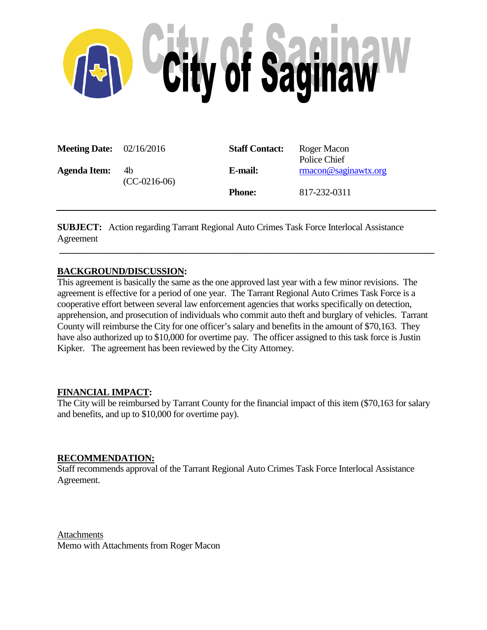

| <b>Meeting Date:</b> $02/16/2016$ |                      | <b>Staff Contact:</b> | Roger Macon<br>Police Chief |
|-----------------------------------|----------------------|-----------------------|-----------------------------|
| <b>Agenda Item:</b>               | 4b<br>$(CC-0216-06)$ | E-mail:               | rmacon@saginawtx.org        |
|                                   |                      | <b>Phone:</b>         | 817-232-0311                |

**SUBJECT:** Action regarding Tarrant Regional Auto Crimes Task Force Interlocal Assistance Agreement

#### **BACKGROUND/DISCUSSION:**

This agreement is basically the same as the one approved last year with a few minor revisions. The agreement is effective for a period of one year. The Tarrant Regional Auto Crimes Task Force is a cooperative effort between several law enforcement agencies that works specifically on detection, apprehension, and prosecution of individuals who commit auto theft and burglary of vehicles. Tarrant County will reimburse the City for one officer's salary and benefits in the amount of \$70,163. They have also authorized up to \$10,000 for overtime pay. The officer assigned to this task force is Justin Kipker. The agreement has been reviewed by the City Attorney.

**\_\_\_\_\_\_\_\_\_\_\_\_\_\_\_\_\_\_\_\_\_\_\_\_\_\_\_\_\_\_\_\_\_\_\_\_\_\_\_\_\_\_\_\_\_\_\_\_\_\_\_\_\_\_\_\_\_\_\_\_\_\_\_\_\_\_\_\_\_\_\_\_\_\_\_\_\_\_\_\_\_\_**

#### **FINANCIAL IMPACT:**

The City will be reimbursed by Tarrant County for the financial impact of this item (\$70,163 for salary and benefits, and up to \$10,000 for overtime pay).

#### **RECOMMENDATION:**

Staff recommends approval of the Tarrant Regional Auto Crimes Task Force Interlocal Assistance Agreement.

**Attachments** Memo with Attachments from Roger Macon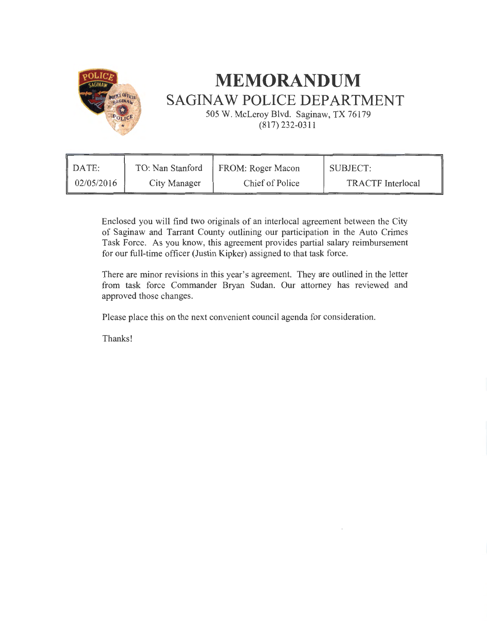

# **MEMORANDUM SAGINAW POLICE DEPARTMENT**

505 W. McLeroy Blvd. Saginaw, TX 76179 (817) 232-0311

| DATE:      | TO: Nan Stanford | <b>FROM: Roger Macon</b> | SUBJECT:                 |
|------------|------------------|--------------------------|--------------------------|
| 02/05/2016 | City Manager     | Chief of Police          | <b>TRACTF</b> Interlocal |

Enclosed you will find two originals of an interlocal agreement between the City of Saginaw and Tarrant County outlining our participation in the Auto Crimes Task Force. As you know, this agreement provides partial salary reimbursement for our full-time officer (Justin Kipker) assigned to that task force.

There are minor revisions in this year's agreement. They are outlined in the letter from task force Commander Bryan Sudan. Our attorney has reviewed and approved those changes.

Please place this on the next convenient council agenda for consideration.

Thanks!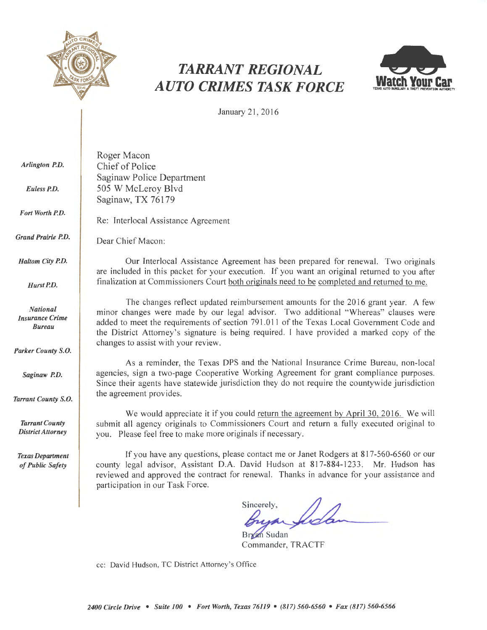

# *TARRANT REGIONAL AUTO CRIMES TASK FORCE*



January 21,2016

| Arlington P.D.<br>Euless P.D.                              | Roger Macon<br>Chief of Police<br>Saginaw Police Department<br>505 W McLeroy Blvd                                                                                                                                                                                                                                                                                                                       |  |  |  |  |
|------------------------------------------------------------|---------------------------------------------------------------------------------------------------------------------------------------------------------------------------------------------------------------------------------------------------------------------------------------------------------------------------------------------------------------------------------------------------------|--|--|--|--|
| Fort Worth P.D.                                            | Saginaw, TX 76179<br>Re: Interlocal Assistance Agreement                                                                                                                                                                                                                                                                                                                                                |  |  |  |  |
| Grand Prairie P.D.                                         | Dear Chief Macon:                                                                                                                                                                                                                                                                                                                                                                                       |  |  |  |  |
| Haltom City P.D.                                           | Our Interlocal Assistance Agreement has been prepared for renewal. Two originals                                                                                                                                                                                                                                                                                                                        |  |  |  |  |
| Hurst P.D.                                                 | are included in this packet for your execution. If you want an original returned to you after<br>finalization at Commissioners Court both originals need to be completed and returned to me.                                                                                                                                                                                                            |  |  |  |  |
| <b>National</b><br><b>Insurance Crime</b><br><b>Bureau</b> | The changes reflect updated reimbursement amounts for the 2016 grant year. A few<br>minor changes were made by our legal advisor. Two additional "Whereas" clauses were<br>added to meet the requirements of section 791.011 of the Texas Local Government Code and<br>the District Attorney's signature is being required. I have provided a marked copy of the<br>changes to assist with your review. |  |  |  |  |
| Parker County S.O.                                         |                                                                                                                                                                                                                                                                                                                                                                                                         |  |  |  |  |
| Saginaw P.D.                                               | As a reminder, the Texas DPS and the National Insurance Crime Bureau, non-local<br>agencies, sign a two-page Cooperative Working Agreement for grant compliance purposes.<br>Since their agents have statewide jurisdiction they do not require the countywide jurisdiction                                                                                                                             |  |  |  |  |
| Tarrant County S.O.                                        | the agreement provides.                                                                                                                                                                                                                                                                                                                                                                                 |  |  |  |  |
| <b>Tarrant County</b><br><b>District Attorney</b>          | We would appreciate it if you could return the agreement by April 30, 2016. We will<br>submit all agency originals to Commissioners Court and return a fully executed original to<br>you. Please feel free to make more originals if necessary.                                                                                                                                                         |  |  |  |  |
| <b>Texas Department</b><br>of Public Safety                | If you have any questions, please contact me or Janet Rodgers at 817-560-6560 or our<br>county legal advisor, Assistant D.A. David Hudson at 817-884-1233. Mr. Hudson has<br>reviewed and approved the contract for renewal. Thanks in advance for your assistance and<br>participation in our Task Force.                                                                                              |  |  |  |  |
|                                                            | Sincerely,                                                                                                                                                                                                                                                                                                                                                                                              |  |  |  |  |

Bryan Sudan Commander, TRACTF

Vida

cc: David Hudson, TC District Attorney's Office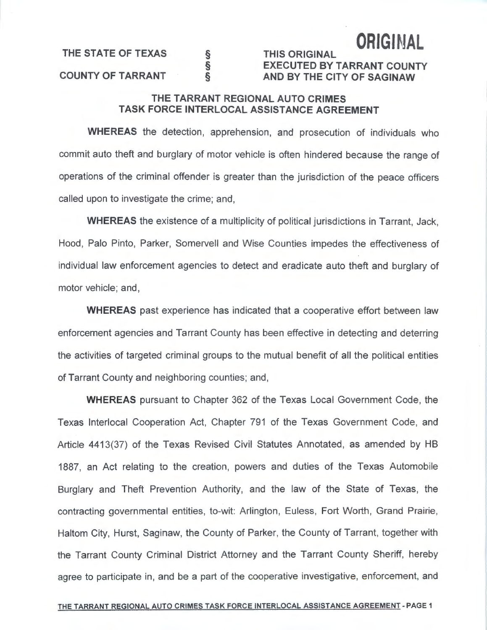**THE STATE OF TEXAS** 

### **COUNTY OF TARRANT**

# **ORIGINAL ORIGINAL EXECUTED BY TARRANT COUNTY AND BY THE CITY OF SAGINAW**

### **THE TARRANT REGIONAL AUTO CRIMES TASK FORCE INTERLOCAL ASSISTANCE AGREEMENT**

§ § §

**WHEREAS** the detection, apprehension, and prosecution of individuals who commit auto theft and burglary of motor vehicle is often hindered because the range of operations of the criminal offender is greater than the jurisdiction of the peace officers called upon to investigate the crime; and,

**WHEREAS** the existence of a multiplicity of political jurisdictions in Tarrant, Jack, Hood, Palo Pinto, Parker, Somervell and Wise Counties impedes the effectiveness of individual law enforcement agencies to detect and eradicate auto theft and burglary of motor vehicle; and,

**WHEREAS** past experience has indicated that a cooperative effort between law enforcement agencies and Tarrant County has been effective in detecting and deterring the activities of targeted criminal groups to the mutual benefit of all the political entities of Tarrant County and neighboring counties; and,

**WHEREAS** pursuant to Chapter 362 of the Texas Local Government Code, the Texas lnterlocal Cooperation Act, Chapter 791 of the Texas Government Code, and Article 4413(37) of the Texas Revised Civil Statutes Annotated, as amended by HB 1887, an Act relating to the creation, powers and duties of the Texas Automobile Burglary and Theft Prevention Authority, and the law of the State of Texas, the contracting governmental entities, to-wit: Arlington, Euless, Fort Worth, Grand Prairie, Haltom City, Hurst, Saginaw, the County of Parker, the County of Tarrant, together with the Tarrant County Criminal District Attorney and the Tarrant County Sheriff, hereby agree to participate in, and be a part of the cooperative investigative, enforcement, and

### THE TARRANT REGIONAL AUTO CRIMES TASK FORCE INTERLOCAL ASSISTANCE AGREEMENT- PAGE 1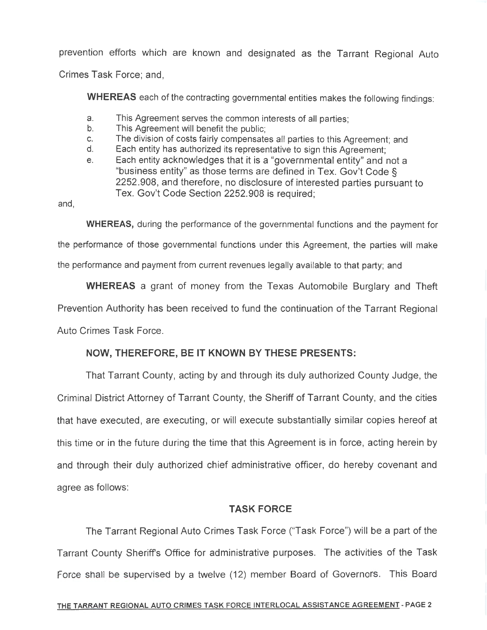prevention efforts which are known and designated as the Tarrant Regional Auto Crimes Task Force; and,

**WHEREAS** each of the contracting governmental entities makes the following findings:

- a. This Agreement serves the common interests of all parties;
- b. This Agreement will benefit the public;
- c. The division of costs fairly compensates all parties to this Agreement; and
- d. Each entity has authorized its representative to sign this Agreement;
- e. Each entity acknowledges that it is a "governmental entity" and not a "business entity" as those terms are defined in Tex. Gov't Code § 2252.908, and therefore, no disclosure of interested parties pursuant to Tex. Gov't Code Section 2252.908 is required;

and,

**WHEREAS,** during the performance of the governmental functions and the payment for

the performance of those governmental functions under this Agreement, the parties will make the performance and payment from current revenues legally available to that party; and

**WHEREAS** a grant of money from the Texas Automobile Burglary and Theft

Prevention Authority has been received to fund the continuation of the Tarrant Regional

Auto Crimes Task Force.

#### **NOW, THEREFORE, BE IT KNOWN BY THESE PRESENTS:**

That Tarrant County, acting by and through its duly authorized County Judge, the Criminal District Attorney of Tarrant County, the Sheriff of Tarrant County, and the cities that have executed, are executing, or will execute substantially similar copies hereof at this time or in the future during the time that this Agreement is in force, acting herein by and through their duly authorized chief administrative officer, do hereby covenant and agree as follows:

#### **TASK FORCE**

The Tarrant Regional Auto Crimes Task Force ("Task Force") will be a part of the Tarrant County Sheriffs Office for administrative purposes. The activities of the Task Force shall be supervised by a twelve (12) member Board of Governors. This Board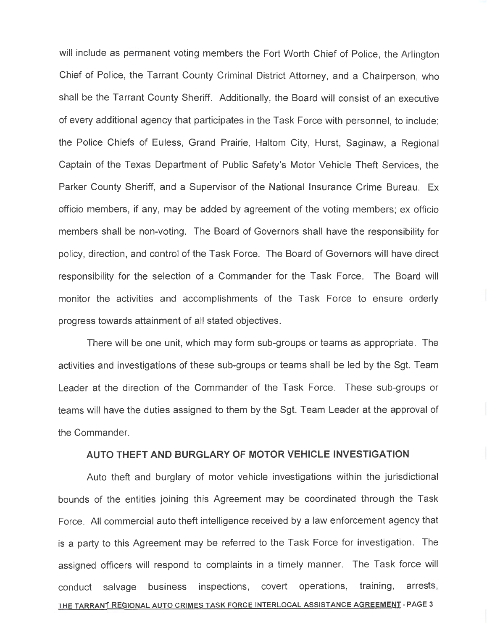will include as permanent voting members the Fort Worth Chief of Police, the Arlington Chief of Police, the Tarrant County Criminal District Attorney, and a Chairperson, who shall be the Tarrant County Sheriff. Additionally, the Board will consist of an executive of every additional agency that participates in the Task Force with personnel, to include: the Police Chiefs of Euless, Grand Prairie, Haltom City, Hurst, Saginaw, a Regional Captain of the Texas Department of Public Safety's Motor Vehicle Theft Services, the Parker County Sheriff, and a Supervisor of the National Insurance Crime Bureau. Ex officio members, if any, may be added by agreement of the voting members; ex officio members shall be non-voting. The Board of Governors shall have the responsibility for policy, direction, and control of the Task Force. The Board of Governors will have direct responsibility for the selection of a Commander for the Task Force. The Board will monitor the activities and accomplishments of the Task Force to ensure orderly progress towards attainment of all stated objectives.

There will be one unit, which may form sub-groups or teams as appropriate. The activities and investigations of these sub-groups or teams shall be led by the Sgt. Team Leader at the direction of the Commander of the Task Force. These sub-groups or teams will have the duties assigned to them by the Sgt. Team Leader at the approval of the Commander.

#### **AUTO THEFT AND BURGLARY OF MOTOR VEHICLE INVESTIGATION**

Auto theft and burglary of motor vehicle investigations within the jurisdictional bounds of the entities joining this Agreement may be coordinated through the Task Force. All commercial auto theft intelligence received by a law enforcement agency that is a party to this Agreement may be referred to the Task Force for investigation. The assigned officers will respond to complaints in a timely manner. The Task force will conduct salvage business inspections, covert operations, training, arrests, THE TARRANT REGIONAL AUTO CRIMES TASK FORCE INTERLOCAL ASSISTANCE AGREEMENT- PAGE 3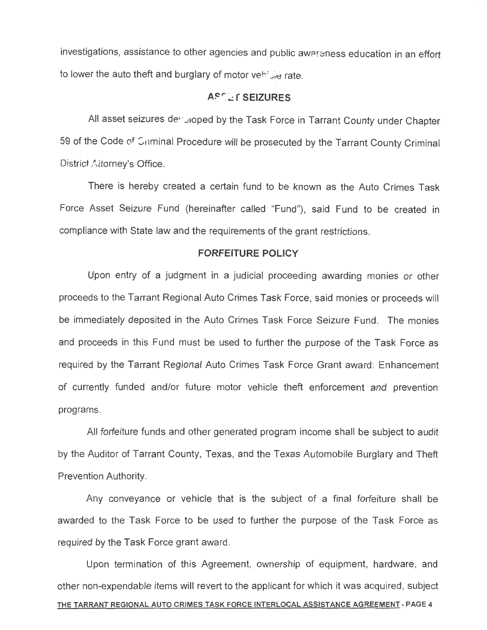investigations, assistance to other agencies and public awareness education in an effort to lower the auto theft and burglary of motor vehicle rate.

### **A \_[; r SEIZURES**

All asset seizures deviloped by the Task Force in Tarrant County under Chapter 59 of the Code of Criminal Procedure will be prosecuted by the Tarrant County Criminal District Attorney's Office.

There is hereby created a certain fund to be known as the Auto Crimes Task Force Asset Seizure Fund (hereinafter called "Fund"), said Fund to be created in compliance with State law and the requirements of the grant restrictions.

#### **FORFEITURE POLICY**

Upon entry of a judgment in a judicial proceeding awarding monies or other proceeds to the Tarrant Regional Auto Crimes Task Force, said monies or proceeds will be immediately deposited in the Auto Crimes Task Force Seizure Fund. The monies and proceeds in this Fund must be used to further the purpose of the Task Force as required by the Tarrant Regional Auto Crimes Task Force Grant award: Enhancement of currently funded and/or future motor vehicle theft enforcement and prevention programs.

All forfeiture funds and other generated program income shall be subject to audit by the Auditor of Tarrant County, Texas, and the Texas Automobile Burglary and Theft Prevention Authority.

Any conveyance or vehicle that is the subject of a final forfeiture shall be awarded to the Task Force to be used to further the purpose of the Task Force as required by the Task Force grant award .

Upon termination of this Agreement, ownership of equipment, hardware, and other non-expendable items will revert to the applicant for which it was acquired, subject THE TARRANT REGIONAL AUTO CRIMES TASK FORCE INTERLOCAL ASSISTANCE AGREEMENT- PAGE 4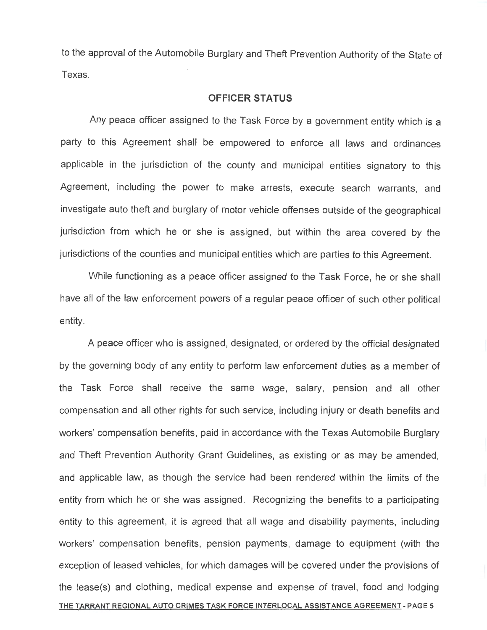to the approval of the Automobile Burglary and Theft Prevention Authority of the State of Texas.

#### **OFFICER STATUS**

Any peace officer assigned to the Task Force by a government entity which is a party to this Agreement shall be empowered to enforce all laws and ordinances applicable in the jurisdiction of the county and municipal entities signatory to this Agreement, including the power to make arrests, execute search warrants, and investigate auto theft and burglary of motor vehicle offenses outside of the geographical jurisdiction from which he or she is assigned, but within the area covered by the jurisdictions of the counties and municipal entities which are parties to this Agreement.

While functioning as a peace officer assigned to the Task Force, he or she shall have all of the law enforcement powers of a regular peace officer of such other political entity.

A peace officer who is assigned, designated, or ordered by the official designated by the governing body of any entity to perform law enforcement duties as a member of the Task Force shall receive the same wage, salary, pension and all other compensation and all other rights for such service, including injury or death benefits and workers' compensation benefits, paid in accordance with the Texas Automobile Burglary and Theft Prevention Authority Grant Guidelines, as existing or as may be amended, and applicable law, as though the service had been rendered within the limits of the entity from which he or she was assigned. Recognizing the benefits to a participating entity to this agreement, it is agreed that all wage and disability payments, including workers' compensation benefits, pension payments, damage to equipment (with the exception of leased vehicles, for which damages will be covered under the provisions of the lease(s) and clothing, medical expense and expense of travel, food and lodging THE TARRANT REGIONAL AUTO CRIMES TASK FORCE INTERLOCAL ASSISTANCE AGREEMENT- PAGE 5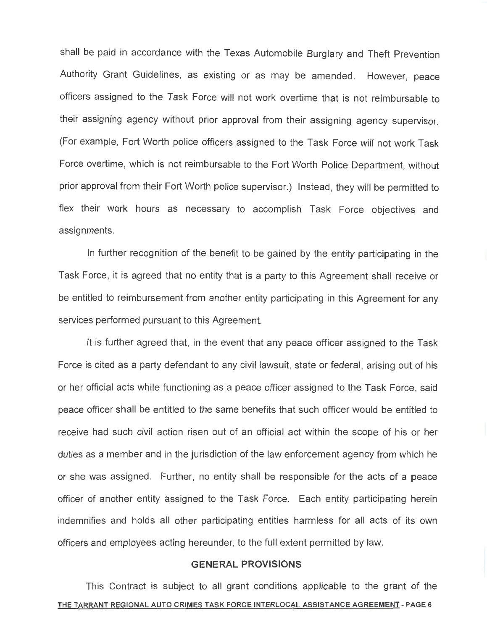shall be paid in accordance with the Texas Automobile Burglary and Theft Prevention Authority Grant Guidelines, as existing or as may be amended. However, peace officers assigned to the Task Force will not work overtime that is not reimbursable to their assigning agency without prior approval from their assigning agency supervisor. (For example, Fort Worth police officers assigned to the Task Force will not work Task Force overtime, which is not reimbursable to the Fort Worth Police Department, without prior approval from their Fort Worth police supervisor.) Instead, they will be permitted to flex their work hours as necessary to accomplish Task Force objectives and assignments.

In further recognition of the benefit to be gained by the entity participating in the Task Force, it is agreed that no entity that is a party to this Agreement shall receive or be entitled to reimbursement from another entity participating in this Agreement for any services performed pursuant to this Agreement.

It is further agreed that, in the event that any peace officer assigned to the Task Force is cited as a party defendant to any civil lawsuit, state or federal, arising out of his or her official acts while functioning as a peace officer assigned to the Task Force, said peace officer shall be entitled to the same benefits that such officer would be entitled to receive had such civil action risen out of an official act within the scope of his or her duties as a member and in the jurisdiction of the law enforcement agency from which he or she was assigned. Further, no entity shall be responsible for the acts of a peace officer of another entity assigned to the Task Force. Each entity participating herein indemnifies and holds all other participating entities harmless for all acts of its own officers and employees acting hereunder, to the full extent permitted by law.

#### **GENERAL PROVISIONS**

This Contract is subject to all grant conditions applicable to the grant of the THE TARRANT REGIONAL AUTO CRIMES TASK FORCE INTERLOCAL ASSISTANCE AGREEMENT- PAGE 6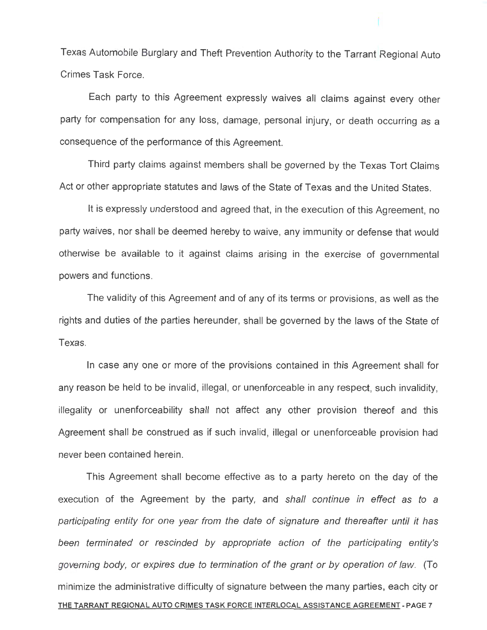Texas Automobile Burglary and Theft Prevention Authority to the Tarrant Regional Auto Crimes Task Force.

Each party to this Agreement expressly waives all claims against every other party for compensation for any loss, damage, personal injury, or death occurring as a consequence of the performance of this Agreement.

Third party claims against members shall be governed by the Texas Tort Claims Act or other appropriate statutes and laws of the State of Texas and the United States.

It is expressly understood and agreed that, in the execution of this Agreement, no party waives, nor shall be deemed hereby to waive, any immunity or defense that would otherwise be available to it against claims arising in the exercise of governmental powers and functions.

The validity of this Agreement and of any of its terms or provisions, as well as the rights and duties of the parties hereunder, shall be governed by the laws of the State of Texas.

In case any one or more of the provisions contained in this Agreement shall for any reason be held to be invalid, illegal, or unenforceable in any respect, such invalidity, illegality or unenforceability shall not affect any other provision thereof and this Agreement shall be construed as if such invalid, illegal or unenforceable provision had never been contained herein.

This Agreement shall become effective as to a party hereto on the day of the execution of the Agreement by the party, and shall continue in effect as to a participating entity for one year from the date of signature and thereafter until it has been terminated or rescinded by appropriate action of the participating entity's governing body, or expires due to termination of the grant or by operation of law. (To minimize the administrative difficulty of signature between the many parties, each city or THE TARRANT REGIONAL AUTO CRIMES TASK FORCE INTERLOCAL ASSISTANCE AGREEMENT- PAGE 7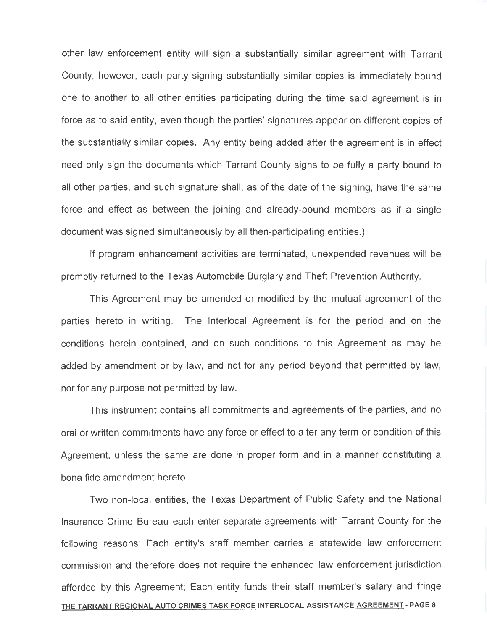other law enforcement entity will sign a substantially similar agreement with Tarrant County; however, each party signing substantially similar copies is immediately bound one to another to all other entities participating during the time said agreement is in force as to said entity, even though the parties' signatures appear on different copies of the substantially similar copies. Any entity being added after the agreement is in effect need only sign the documents which Tarrant County signs to be fully a party bound to all other parties, and such signature shall, as of the date of the signing, have the same force and effect as between the joining and already-bound members as if a single document was signed simultaneously by all then-participating entities.)

If program enhancement activities are terminated, unexpended revenues will be promptly returned to the Texas Automobile Burglary and Theft Prevention Authority.

This Agreement may be amended or modified by the mutual agreement of the parties hereto in writing. The lnterlocal Agreement is for the period and on the conditions herein contained, and on such conditions to this Agreement as may be added by amendment or by law, and not for any period beyond that permitted by law, nor for any purpose not permitted by law.

This instrument contains all commitments and agreements of the parties, and no oral or written commitments have any force or effect to alter any term or condition of this Agreement, unless the same are done in proper form and in a manner constituting a bona fide amendment hereto.

Two non-local entities, the Texas Department of Public Safety and the National Insurance Crime Bureau each enter separate agreements with Tarrant County for the following reasons: Each entity's staff member carries a statewide law enforcement commission and therefore does not require the enhanced law enforcement jurisdiction afforded by this Agreement; Each entity funds their staff member's salary and fringe THE TARRANT REGIONAL AUTO CRIMES TASK FORCE INTERLOCAL ASSISTANCE AGREEMENT- PAGE 8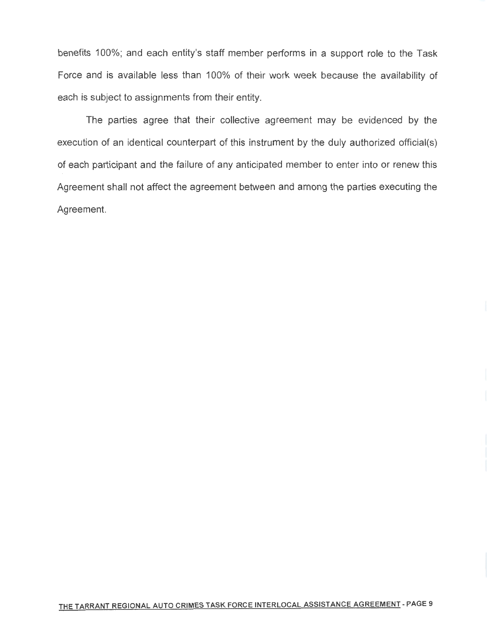benefits 100%; and each entity's staff member performs in a support role to the Task Force and is available less than 100% of their work week because the availability of each is subject to assignments from their entity.

The parties agree that their collective agreement may be evidenced by the execution of an identical counterpart of this instrument by the duly authorized official(s) of each participant and the failure of any anticipated member to enter into or renew this Agreement shall not affect the agreement between and among the parties executing the Agreement.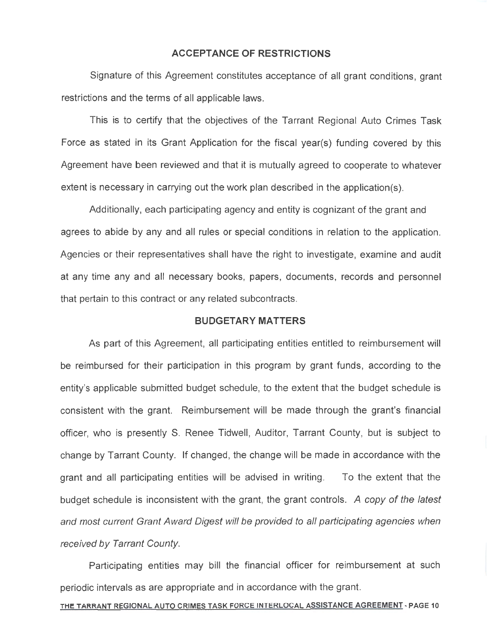#### **ACCEPTANCE OF RESTRICTIONS**

Signature of this Agreement constitutes acceptance of all grant conditions, grant restrictions and the terms of all applicable laws.

This is to certify that the objectives of the Tarrant Regional Auto Crimes Task Force as stated in its Grant Application for the fiscal year(s) funding covered by this Agreement have been reviewed and that it is mutually agreed to cooperate to whatever extent is necessary in carrying out the work plan described in the application(s).

Additionally, each participating agency and entity is cognizant of the grant and agrees to abide by any and all rules or special conditions in relation to the application. Agencies or their representatives shall have the right to investigate, examine and audit at any time any and all necessary books, papers, documents, records and personnel that pertain to this contract or any related subcontracts.

#### **BUDGETARY MATTERS**

As part of this Agreement, all participating entities entitled to reimbursement will be reimbursed for their participation in this program by grant funds, according to the entity's applicable submitted budget schedule, to the extent that the budget schedule is consistent with the grant. Reimbursement will be made through the grant's financial officer, who is presently S. Renee Tidwell, Auditor, Tarrant County, but is subject to change by Tarrant County. If changed, the change will be made in accordance with the grant and all participating entities will be advised in writing . To the extent that the budget schedule is inconsistent with the grant, the grant controls. A copy of the latest and most current Grant Award Digest will be provided to all participating agencies when received by Tarrant County.

Participating entities may bill the financial officer for reimbursement at such periodic intervals as are appropriate and in accordance with the grant.

#### THE TARRANT REGIONAL AUTO CRIMES TASK FORCE INTERLOCAL ASSISTANCE AGREEMENT- PAGE 10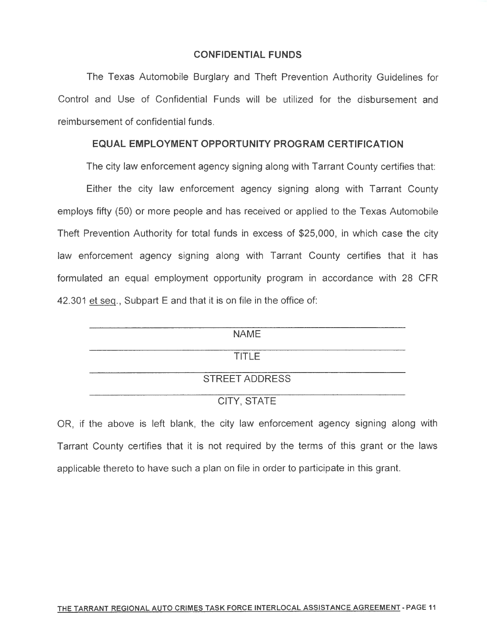#### **CONFIDENTIAL FUNDS**

The Texas Automobile Burglary and Theft Prevention Authority Guidelines for Control and Use of Confidential Funds will be utilized for the disbursement and reimbursement of confidential funds.

#### **EQUAL EMPLOYMENT OPPORTUNITY PROGRAM CERTIFICATION**

The city law enforcement agency signing along with Tarrant County certifies that:

Either the city law enforcement agency signing along with Tarrant County employs fifty (50) or more people and has received or applied to the Texas Automobile Theft Prevention Authority for total funds in excess of \$25,000, in which case the city law enforcement agency signing along with Tarrant County certifies that it has formulated an equal employment opportunity program in accordance with 28 CFR 42.301 et seq., Subpart E and that it is on file in the office of:

| <b>NAME</b>           |  |
|-----------------------|--|
| <b>TITLE</b>          |  |
| <b>STREET ADDRESS</b> |  |
| CITY, STATE           |  |

OR, if the above is left blank, the city law enforcement agency signing along with Tarrant County certifies that it is not required by the terms of this grant or the laws applicable thereto to have such a plan on file in order to participate in this grant.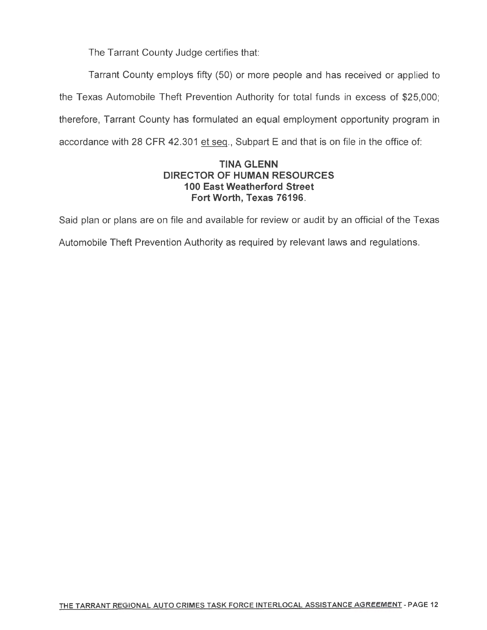The Tarrant County Judge certifies that:

Tarrant County employs fifty (50) or more people and has received or applied to the Texas Automobile Theft Prevention Authority for total funds in excess of \$25,000; therefore, Tarrant County has formulated an equal employment opportunity program in accordance with 28 CFR 42.301 et seq., Subpart E and that is on file in the office of:

### **TINA GLENN DIRECTOR OF HUMAN RESOURCES 100 East Weatherford Street Fort Worth, Texas 76196.**

Said plan or plans are on file and available for review or audit by an official of the Texas

Automobile Theft Prevention Authority as required by relevant laws and regulations.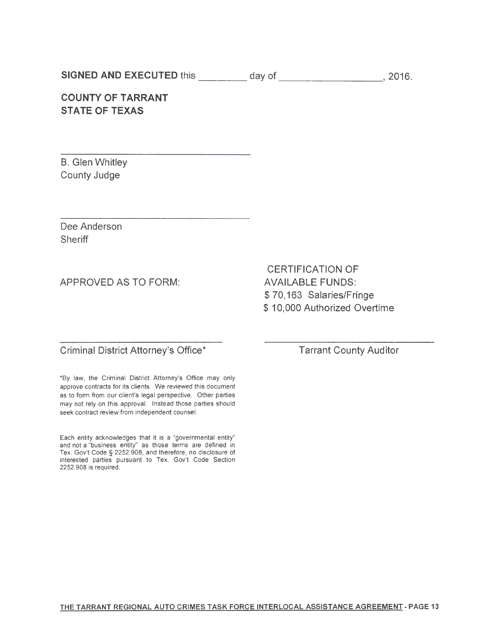SIGNED AND EXECUTED this \_\_\_\_ day of \_\_\_\_\_\_\_\_ , 2016.

### COUNTY OF TARRANT STATE OF TEXAS

B. Glen Whitley County Judge

Dee Anderson **Sheriff** 

APPROVED AS TO FORM:

CERTIFICATION OF AVAILABLE FUNDS: \$ 70,163 Salaries/Fringe \$ 10,000 Authorized Overtime

Criminal District Attorney's Office\*

\*By law, the Criminal District Attorney's Office may only approve contracts for its clients. We reviewed this document as to form from our client's legal perspective. Other parties may not rely on this approval. Instead those parties should seek contract review from independent counsel.

Each entity acknowledges that it is a "governmental entity" and not a "business entity" as those terms are defined in Tex. Gov't Code § 2252.908, and therefore, no disclosure of interested parties pursuant to Tex. Gov't Code Section 2252.908 is required.

Tarrant County Auditor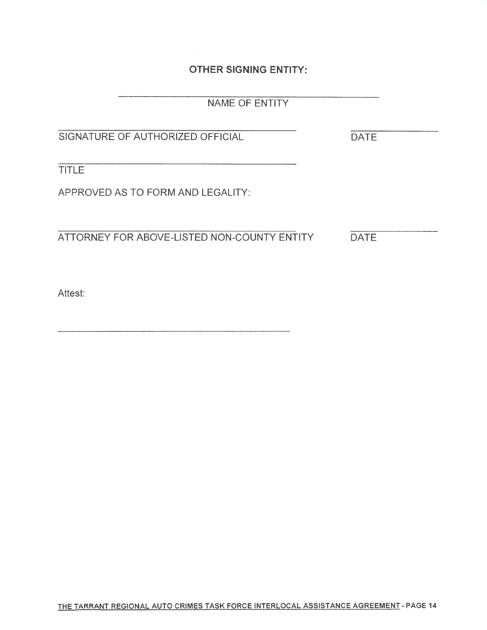### **OTHER SIGNING ENTITY:**

NAME OF ENTITY

SIGNATURE OF AUTHORIZED OFFICIAL DATE

**TITLE** 

APPROVED AS TO FORM AND LEGALITY:

ATTORNEY FOR ABOVE-LISTED NON-COUNTY ENTITY DATE

Attest: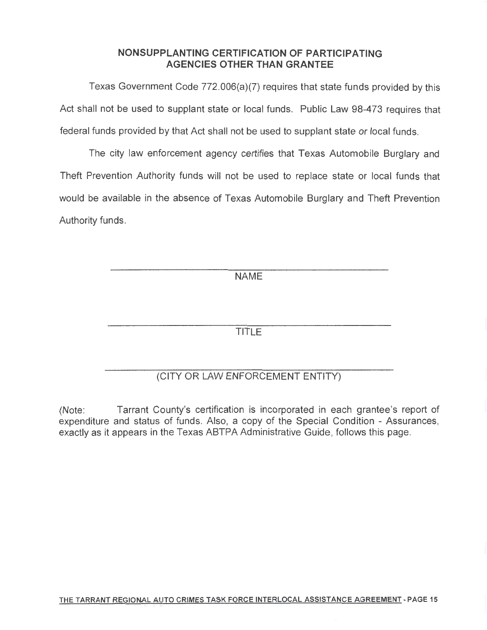### **NONSUPPLANTING CERTIFICATION OF PARTICIPATING AGENCIES OTHER THAN GRANTEE**

Texas Government Code 772.006(a)(7) requires that state funds provided by this Act shall not be used to supplant state or local funds. Public Law 98-473 requires that federal funds provided by that Act shall not be used to supplant state or local funds.

The city law enforcement agency certifies that Texas Automobile Burglary and Theft Prevention Authority funds will not be used to replace state or local funds that would be available in the absence of Texas Automobile Burglary and Theft Prevention Authority funds.

NAME

TITLE

## (CITY OR LAW ENFORCEMENT ENTITY)

(Note: Tarrant County's certification is incorporated in each grantee's report of expenditure and status of funds. Also, a copy of the Special Condition - Assurances, exactly as it appears in the Texas ABTPA Administrative Guide, follows this page.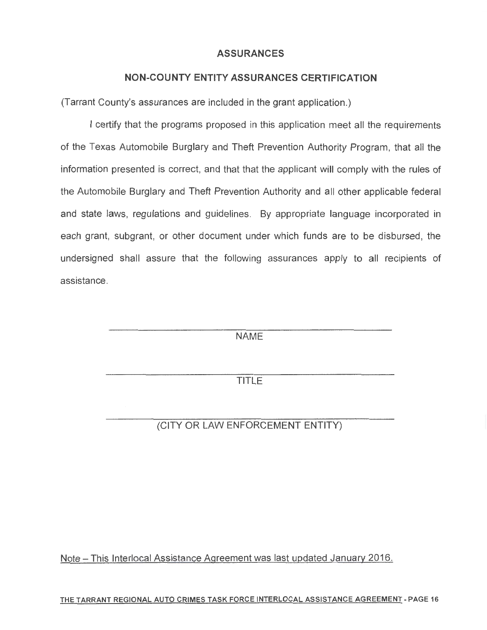### **ASSURANCES**

### **NON-COUNTY ENTITY ASSURANCES CERTIFICATION**

(Tarrant County's assurances are included in the grant application.)

I certify that the programs proposed in this application meet all the requirements of the Texas Automobile Burglary and Theft Prevention Authority Program, that all the information presented is correct, and that that the applicant will comply with the rules of the Automobile Burglary and Theft Prevention Authority and all other applicable federal and state laws, regulations and guidelines. By appropriate language incorporated in each grant, subgrant, or other document under which funds are to be disbursed, the undersigned shall assure that the following assurances apply to all recipients of assistance.

NAME

TITLE

### (CITY OR LAW ENFORCEMENT ENTITY)

Note- This lnterlocal Assistance Agreement was last updated January 2016.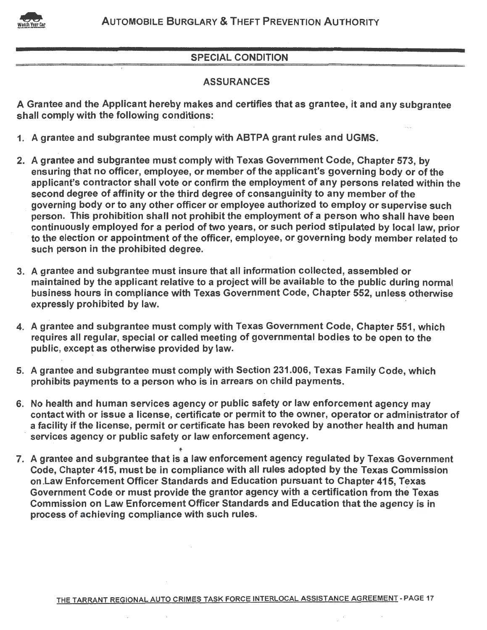

### SPECIAL CONDITION

### ASSURANCES

A Grantee and the Applicant hereby makes and certifies that as grantee, it and any subgrantee shall comply with the following conditions:

- 1. A grantee and subgrantee must comply with ABTPA grant rules and UGMS.
- 2. A grantee and subgrantee must comply with Texas Government Code, Chapter 573, by ensuring that no officer, employee, or member of the applicant's governing body or of the applicant's contractor shall vote or confirm the employment of any persons related within the second degree of affinity or the third degree of consanguinity to any member of the governing body or to any other officer or employee authorized to employ or supervise such person. This prohibition shall not prohibit the employment of a person who shall have been continuously employed for a period of two years, or such period stipulated by local law, prior to the election or appointment of the officer, employee, or governing body member related to such person in the prohibited degree.
- 3. A grantee and subgrantee must insure that all information collected, assembled or maintained by the applicant relative to a project will be available to the public during normal business hours in compliance with Texas Government Code, Chapter 552, unless otherwise expressly prohibited by law.
- 4. A grantee and subgrantee must comply with Texas Government Code, Chapter 551, which requires all regular, special or called meeting of governmental bodies to be open to the public, except as otherwise provided by law.
- 5. A grantee and subgrantee must comply with Section 231.006, Texas Family Code, which prohibits payments to a person who is in arrears on child payments.
- 6. No health and human services agency or public safety or law enforcement agency may contact with or issue a license, certificate or permit to the owner, operator or administrator of a facility if the license, permit or certificate has been revoked by another health and human services agency or public safety or law enforcement agency.
- t 7. A grantee and subgrantee that is a law enforcement agency regulated by Texas Government Code, Chapter 415, must be in compliance with all rules adopted by the Texas Commission on .Law Enforcement Officer Standards and Education pursuant to Chapter 415, Texas Government Code or must provide the grantor agency with a certification from the Texas Commission on Law Enforcement Officer Standards and Education that the agency is in process of achieving compliance with such rules.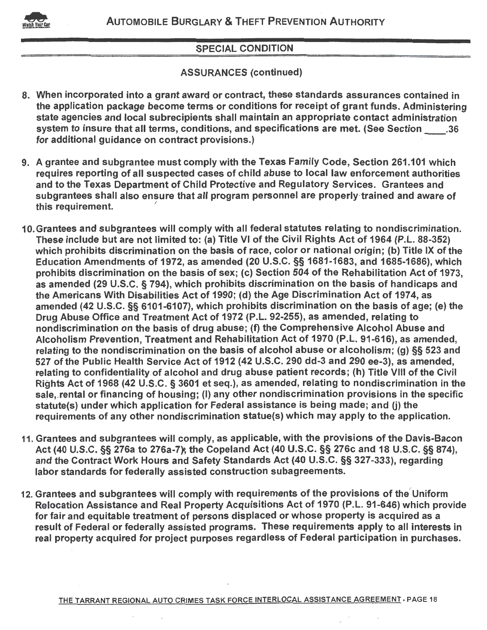

### SPECIAL CONDITION

### ASSURANCES (continued)

- 8. When incorporated into a grant award or contract, these standards assurances contained in the application package become terms or conditions for receipt of grant funds. Administering state agencies and local subrecipients shall maintain an appropriate contact administration system to insure that all terms, conditions, and specifications are met. (See Section ... 36 for additional guidance on contract provisions.)
- 9. A grantee and subgrantee must comply with the Texas Family Code, Section 261.101 which requires reporting of all suspected cases of child abuse to local law enforcement authorities and to the Texas Department of Child Protective and Regulatory Services. Grantees and subgrantees shall also ensure that all program personnel are properly trained and aware of this requirement. *<sup>1</sup>*
- 10. Grantees and subgrantees will comply with all federal statutes relating to nondiscrimination . These include but are not limited to: (a) Title VI of the Civil Rights Act of 1964 (P.L. 88-352) which prohibits discrimination on the basis of race, color or national origin; (b) Title IX of the Education Amendments of 1972, as amended (20 U.S.C. §§ 1681-1683, and 1685-1686), which prohibits discrimination on the basis of sex; (c) Section 504 of the Rehabilitation Act of 1973, as amended (29 U.S.C. § 794), which prohibits discrimination on the basis of handicaps and the Americans With Disabilities Act of 1990; (d) the Age Discrimination Act of 1974, as amended (42 U.S.C. §§ 6101-6107), which prohibits discrimination on the basis of age; (e) the Drug Abuse Office and Treatment Act of 1972 (P.L. 92-255), as amended, relating to nondiscrimination on the basis of drug abuse; (f) the Comprehensive Alcohol Abuse and Alcoholism Prevention, Treatment and Rehabilitation Act of 1970 (P.L. 91-616), as amended, relating to the nondiscrimination on the basis of alcohol abuse or alcoholism; (g)§§ 523 and 527 of the Public Health Service Act of 1912 (42 U.S.C. 290 dd-3 and 290 ee-3), as amended, relating to confidentiality.of alcohol and drug abuse patient records; (h) Title VIII of the Civil Rights Act of 1968 (42 U.S.C. § 3601 et seq.), as amended, relating to nondiscrimination in the sale, rental or financing of housing; (I) any other nondiscrimination provisions in the specific statute(s) under which application for Federal assistance is being made; and (j) the requirements of any other nondiscrimination statue(s) which may apply to the application.
- 11. Grantees and subgrantees will comply, as applicable, with the provisions of the Davis-Bacon Act (40 U.S.C. §§ 276a to 276a-7); the Copeland Act (40 U.S.C. §§ 276c and 18 U.S.C. §§ 874), and the Contract Work Hours and Safety Standards Act (40 U.S.C. §§ 327 -333), regarding labor standards for federally assisted construction subagreements.
- 12. Grantees and subgrantees will comply with requirements of the provisions of the Uniform Relocation Assistance and Real Property Acquisitions Act of 1970 (P .L. 91-646) which provide for fair and equitable treatment of persons displaced or whose property is acquired as a result of Federal or federally assisted programs. These requirements apply to all interests in real property acquired for project purposes regardless of Federal participation in purchases.